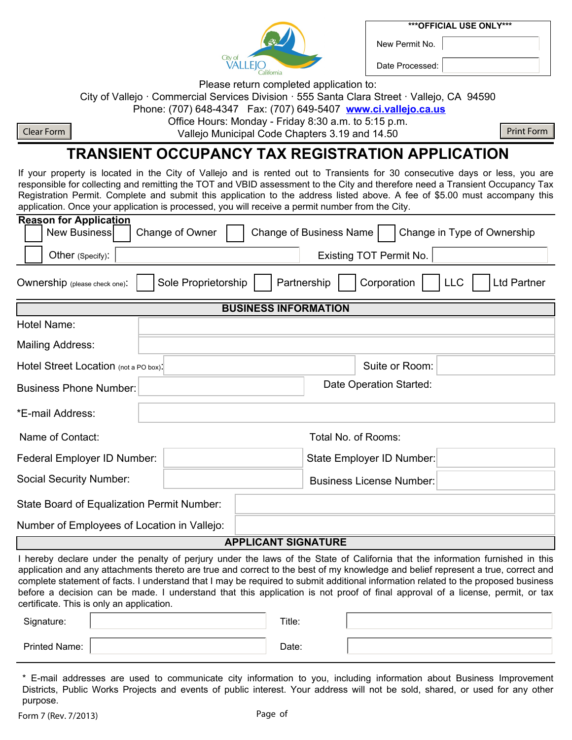**\*\*\*OFFICIAL USE ONLY\*\*\***

**VALLEJO** 

Date Processed:

New Permit No.

Please return completed application to: City of Vallejo · Commercial Services Division · 555 Santa Clara Street · Vallejo, CA 94590

Phone: (707) 648-4347 Fax: (707) 649-5407 **www.ci.vallejo.ca.us**

Office Hours: Monday - Friday 8:30 a.m. to 5:15 p.m.

Clear Form Nunicipal Code Chapters 3.19 and 14.50 Print Form

### **TRANSIENT OCCUPANCY TAX REGISTRATION APPLICATION**

If your property is located in the City of Vallejo and is rented out to Transients for 30 consecutive days or less, you are responsible for collecting and remitting the TOT and VBID assessment to the City and therefore need a Transient Occupancy Tax Registration Permit. Complete and submit this application to the address listed above. A fee of \$5.00 must accompany this application. Once your application is processed, you will receive a permit number from the City.

| <b>Reason for Application</b>               |                                                                                       |  |  |  |  |  |
|---------------------------------------------|---------------------------------------------------------------------------------------|--|--|--|--|--|
| <b>New Business</b>                         | <b>Change of Business Name</b><br>Change of Owner<br>Change in Type of Ownership      |  |  |  |  |  |
| Other (Specify):                            | Existing TOT Permit No.                                                               |  |  |  |  |  |
| Ownership (please check one):               | Corporation<br>Sole Proprietorship<br>Partnership<br><b>LLC</b><br><b>Ltd Partner</b> |  |  |  |  |  |
|                                             | <b>BUSINESS INFORMATION</b>                                                           |  |  |  |  |  |
| Hotel Name:                                 |                                                                                       |  |  |  |  |  |
| <b>Mailing Address:</b>                     |                                                                                       |  |  |  |  |  |
| Hotel Street Location (not a PO box):       | Suite or Room:                                                                        |  |  |  |  |  |
| <b>Business Phone Number:</b>               | Date Operation Started:                                                               |  |  |  |  |  |
| *E-mail Address:                            |                                                                                       |  |  |  |  |  |
| Name of Contact:                            | Total No. of Rooms:                                                                   |  |  |  |  |  |
| Federal Employer ID Number:                 | State Employer ID Number:                                                             |  |  |  |  |  |
| <b>Social Security Number:</b>              | <b>Business License Number:</b>                                                       |  |  |  |  |  |
| State Board of Equalization Permit Number:  |                                                                                       |  |  |  |  |  |
| Number of Employees of Location in Vallejo: |                                                                                       |  |  |  |  |  |
| <b>APPLICANT SIGNATURE</b>                  |                                                                                       |  |  |  |  |  |

I hereby declare under the penalty of perjury under the laws of the State of California that the information furnished in this application and any attachments thereto are true and correct to the best of my knowledge and belief represent a true, correct and complete statement of facts. I understand that I may be required to submit additional information related to the proposed business before a decision can be made. I understand that this application is not proof of final approval of a license, permit, or tax certificate. This is only an application.

| Signature:           | Title: |  |
|----------------------|--------|--|
| <b>Printed Name:</b> | Date:  |  |

\* E-mail addresses are used to communicate city information to you, including information about Business Improvement Districts, Public Works Projects and events of public interest. Your address will not be sold, shared, or used for any other purpose.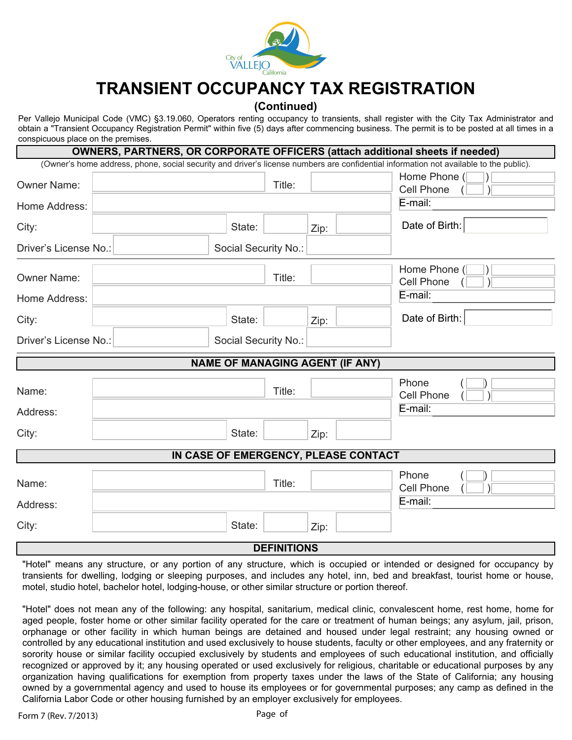

# **TRANSIENT OCCUPANCY TAX REGISTRATION**

### **(Continued)**

Per Vallejo Municipal Code (VMC) §3.19.060, Operators renting occupancy to transients, shall register with the City Tax Administrator and obtain a "Transient Occupancy Registration Permit" within five (5) days after commencing business. The permit is to be posted at all times in a conspicuous place on the premises.

|                       | OWNERS, PARTNERS, OR CORPORATE OFFICERS (attach additional sheets if needed) |                   |                                                                                                                                       |
|-----------------------|------------------------------------------------------------------------------|-------------------|---------------------------------------------------------------------------------------------------------------------------------------|
|                       |                                                                              |                   | (Owner's home address, phone, social security and driver's license numbers are confidential information not available to the public). |
| <b>Owner Name:</b>    | Title:                                                                       |                   | Home Phone (                                                                                                                          |
|                       |                                                                              |                   | <b>Cell Phone</b>                                                                                                                     |
| Home Address:         |                                                                              | E-mail:           |                                                                                                                                       |
| City:                 | State:                                                                       | Zip:              | Date of Birth:                                                                                                                        |
| Driver's License No.: | Social Security No.:                                                         |                   |                                                                                                                                       |
| <b>Owner Name:</b>    | Title:                                                                       |                   | Home Phone (                                                                                                                          |
|                       |                                                                              | <b>Cell Phone</b> |                                                                                                                                       |
| Home Address:         |                                                                              |                   | E-mail:                                                                                                                               |
| City:                 | State:                                                                       | Zip:              | Date of Birth:                                                                                                                        |
| Driver's License No.: | Social Security No.:                                                         |                   |                                                                                                                                       |
|                       | <b>NAME OF MANAGING AGENT (IF ANY)</b>                                       |                   |                                                                                                                                       |
| Name:                 | Title:                                                                       |                   | Phone                                                                                                                                 |
|                       |                                                                              |                   | <b>Cell Phone</b>                                                                                                                     |
| Address:              |                                                                              |                   | E-mail:                                                                                                                               |
| City:                 | State:                                                                       | Zip:              |                                                                                                                                       |
|                       | IN CASE OF EMERGENCY, PLEASE CONTACT                                         |                   |                                                                                                                                       |
|                       |                                                                              |                   | Phone                                                                                                                                 |
| Name:                 | Title:                                                                       |                   | <b>Cell Phone</b>                                                                                                                     |
| Address:              |                                                                              |                   | E-mail:                                                                                                                               |
| City:                 | State:                                                                       | Zip:              |                                                                                                                                       |
|                       | <b>DEFINITIONS</b>                                                           |                   |                                                                                                                                       |

"Hotel" means any structure, or any portion of any structure, which is occupied or intended or designed for occupancy by transients for dwelling, lodging or sleeping purposes, and includes any hotel, inn, bed and breakfast, tourist home or house, motel, studio hotel, bachelor hotel, lodging-house, or other similar structure or portion thereof.

"Hotel" does not mean any of the following: any hospital, sanitarium, medical clinic, convalescent home, rest home, home for aged people, foster home or other similar facility operated for the care or treatment of human beings; any asylum, jail, prison, orphanage or other facility in which human beings are detained and housed under legal restraint; any housing owned or controlled by any educational institution and used exclusively to house students, faculty or other employees, and any fraternity or sorority house or similar facility occupied exclusively by students and employees of such educational institution, and officially recognized or approved by it; any housing operated or used exclusively for religious, charitable or educational purposes by any organization having qualifications for exemption from property taxes under the laws of the State of California; any housing owned by a governmental agency and used to house its employees or for governmental purposes; any camp as defined in the California Labor Code or other housing furnished by an employer exclusively for employees.